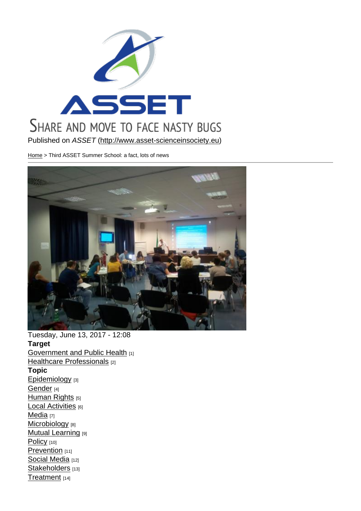Published on ASSET (http://www.asset-scienceinsociety.eu)

Home > Third ASSET Summer School: a fact, lots of news

Tuesday, June 13, 2017 - 12:08 Target Government and Public Health [1] Healthcare Professionals [2] Topic [Epidemiology](http://www.asset-scienceinsociety.eu/target/government-and-public-health) [3] [Gender](http://www.asset-scienceinsociety.eu/target/healthcare-professionals) [4] Human Rights [5] [Local Activitie](http://www.asset-scienceinsociety.eu/topic/epidemiology)s [6] [Media](http://www.asset-scienceinsociety.eu/topic/gender) [7] [Microbiology](http://www.asset-scienceinsociety.eu/topic/human-rights) [8] **[Mutual Learnin](http://www.asset-scienceinsociety.eu/topic/local-activities)g [9]** [Policy](http://www.asset-scienceinsociety.eu/topic/media) [10] [Prevention](http://www.asset-scienceinsociety.eu/topic/microbiology) [11] [Social Media](http://www.asset-scienceinsociety.eu/topic/mutual-learning) [12] [Stakeh](http://www.asset-scienceinsociety.eu/topic/policy)olders [13] [Treatment](http://www.asset-scienceinsociety.eu/topic/prevention)<sub>[14]</sub>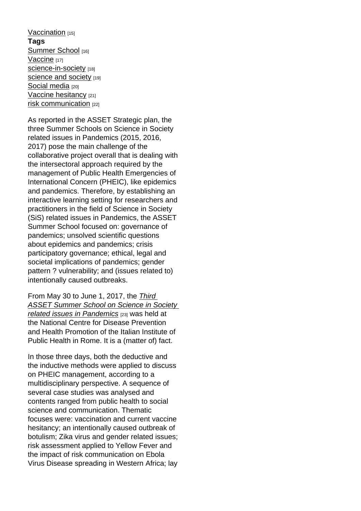Vaccination [15] Tags Summer School [16] [Vaccine](http://www.asset-scienceinsociety.eu/topic/vaccination) [17] science-in-society [18] [science and soc](http://www.asset-scienceinsociety.eu/tags/summer-school)iety [19] [Social m](http://www.asset-scienceinsociety.eu/tags/vaccine)edia [20] [Vaccine hesitancy](http://www.asset-scienceinsociety.eu/tags/science-society) [21] [risk communication](http://www.asset-scienceinsociety.eu/tags/science-and-society) [22]

[As reported in](http://www.asset-scienceinsociety.eu/tags/social-media) the ASSET Strategic plan, the [three Summer Sch](http://www.asset-scienceinsociety.eu/tags/vaccine-hesitancy)ools on Science in Society [related issues in Pa](http://www.asset-scienceinsociety.eu/tags/risk-communication)ndemics (2015, 2016, 2017) pose the main challenge of the collaborative project overall that is dealing with the intersectoral approach required by the management of Public Health Emergencies of International Concern (PHEIC), like epidemics and pandemics. Therefore, by establishing an interactive learning setting for researchers and practitioners in the field of Science in Society (SiS) related issues in Pandemics, the ASSET Summer School focused on: governance of pandemics; unsolved scientific questions about epidemics and pandemics; crisis participatory governance; ethical, legal and societal implications of pandemics; gender pattern ? vulnerability; and (issues related to) intentionally caused outbreaks.

From May 30 to June 1, 2017, the Third ASSET Summer School on Science in Society related issues in Pandemics [23] was held at the National Centre for Disease Pr[eventi](http://www.asset-scienceinsociety.eu/events/summer-school-science-society-related-issues-pandemics-–-third-edition)on [and Health Promotion of the Italian Institute of](http://www.asset-scienceinsociety.eu/events/summer-school-science-society-related-issues-pandemics-–-third-edition)  [Public Health in Rome. It is a](http://www.asset-scienceinsociety.eu/events/summer-school-science-society-related-issues-pandemics-–-third-edition) (matter of) fact.

In those three days, both the deductive and the inductive methods were applied to discuss on PHEIC management, according to a multidisciplinary perspective. A sequence of several case studies was analysed and contents ranged from public health to social science and communication. Thematic focuses were: vaccination and current vaccine hesitancy; an intentionally caused outbreak of botulism; Zika virus and gender related issues; risk assessment applied to Yellow Fever and the impact of risk communication on Ebola Virus Disease spreading in Western Africa; lay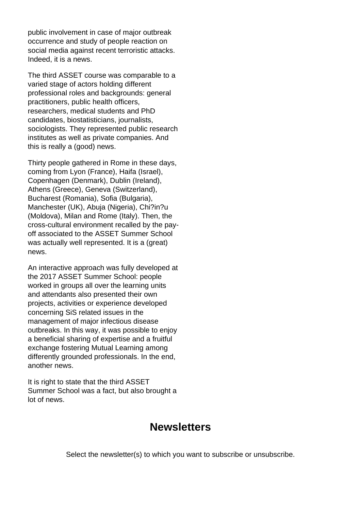public involvement in case of major outbreak occurrence and study of people reaction on social media against recent terroristic attacks. Indeed, it is a news.

The third ASSET course was comparable to a varied stage of actors holding different professional roles and backgrounds: general practitioners, public health officers, researchers, medical students and PhD candidates, biostatisticians, journalists, sociologists. They represented public research institutes as well as private companies. And this is really a (good) news.

Thirty people gathered in Rome in these days, coming from Lyon (France), Haifa (Israel), Copenhagen (Denmark), Dublin (Ireland), Athens (Greece), Geneva (Switzerland), Bucharest (Romania), Sofia (Bulgaria), Manchester (UK), Abuja (Nigeria), Chi?in?u (Moldova), Milan and Rome (Italy). Then, the cross-cultural environment recalled by the payoff associated to the ASSET Summer School was actually well represented. It is a (great) news.

An interactive approach was fully developed at the 2017 ASSET Summer School: people worked in groups all over the learning units and attendants also presented their own projects, activities or experience developed concerning SiS related issues in the management of major infectious disease outbreaks. In this way, it was possible to enjoy a beneficial sharing of expertise and a fruitful exchange fostering Mutual Learning among differently grounded professionals. In the end, another news.

It is right to state that the third ASSET Summer School was a fact, but also brought a lot of news.

## **Newsletters**

Select the newsletter(s) to which you want to subscribe or unsubscribe.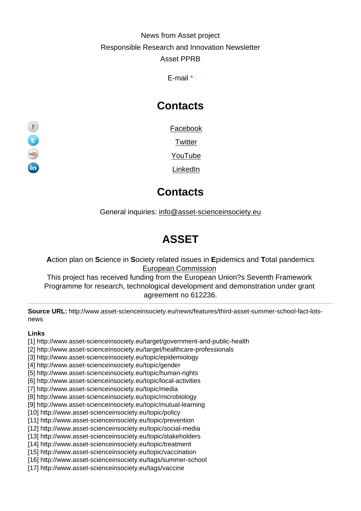#### News from Asset project Responsible Research and Innovation Newsletter Asset PPRB

E-mail \*

# **Contacts**

Facebook

**Twitter** 

YouTube

LinkedIn

## **Contacts**

General inquiries: info@asset-scienceinsociety.eu

# [ASSET](mailto:info@asset-scienceinsociety.eu)

Action plan on Science in Society related issues in Epidemics and Total pandemics European Commission

This project has received funding from the European Union?s Seventh Framework Programme for research, technological development and demonstration under grant [agreement no 612236.](http://ec.europa.eu/index_en.htm)

Source URL: http://www.asset-scienceinsociety.eu/news/features/third-asset-summer-school-fact-lotsnews

Links

- [1] http://www.asset-scienceinsociety.eu/target/government-and-public-health
- [2] http://www.asset-scienceinsociety.eu/target/healthcare-professionals
- [3] http://www.asset-scienceinsociety.eu/topic/epidemiology
- [4] http://www.asset-scienceinsociety.eu/topic/gender
- [5] http://www.asset-scienceinsociety.eu/topic/human-rights
- [6] http://www.asset-scienceinsociety.eu/topic/local-activities
- [7] http://www.asset-scienceinsociety.eu/topic/media
- [8] http://www.asset-scienceinsociety.eu/topic/microbiology
- [9] http://www.asset-scienceinsociety.eu/topic/mutual-learning
- [10] http://www.asset-scienceinsociety.eu/topic/policy
- [11] http://www.asset-scienceinsociety.eu/topic/prevention
- [12] http://www.asset-scienceinsociety.eu/topic/social-media
- [13] http://www.asset-scienceinsociety.eu/topic/stakeholders
- [14] http://www.asset-scienceinsociety.eu/topic/treatment
- [15] http://www.asset-scienceinsociety.eu/topic/vaccination
- [16] http://www.asset-scienceinsociety.eu/tags/summer-school
- [17] http://www.asset-scienceinsociety.eu/tags/vaccine